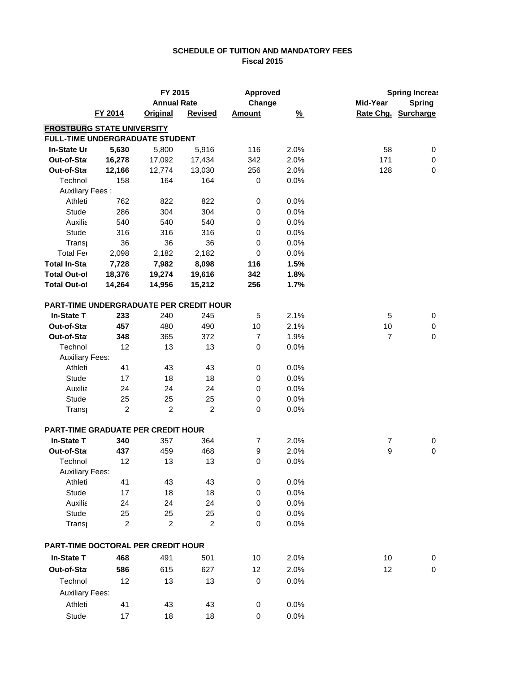## **SCHEDULE OF TUITION AND MANDATORY FEES Fiscal 2015**

|                        |                                                | FY 2015            |                | <b>Approved</b> |               |                | <b>Spring Increas</b> |
|------------------------|------------------------------------------------|--------------------|----------------|-----------------|---------------|----------------|-----------------------|
|                        |                                                | <b>Annual Rate</b> |                | Change          |               | Mid-Year       | <b>Spring</b>         |
|                        | FY 2014                                        | <b>Original</b>    | <b>Revised</b> | <b>Amount</b>   | $\frac{9}{6}$ |                | Rate Chg. Surcharge   |
|                        | <b>FROSTBURG STATE UNIVERSITY</b>              |                    |                |                 |               |                |                       |
|                        | FULL-TIME UNDERGRADUATE STUDENT                |                    |                |                 |               |                |                       |
| In-State Ur            | 5,630                                          | 5,800              | 5,916          | 116             | 2.0%          | 58             | 0                     |
| Out-of-Sta             | 16,278                                         | 17,092             | 17,434         | 342             | 2.0%          | 171            | $\pmb{0}$             |
| Out-of-Sta             | 12,166                                         | 12,774             | 13,030         | 256             | 2.0%          | 128            | 0                     |
| Technol                | 158                                            | 164                | 164            | 0               | 0.0%          |                |                       |
| <b>Auxiliary Fees:</b> |                                                |                    |                |                 |               |                |                       |
| Athleti                | 762                                            | 822                | 822            | 0               | 0.0%          |                |                       |
| Stude                  | 286                                            | 304                | 304            | 0               | 0.0%          |                |                       |
| Auxilia                | 540                                            | 540                | 540            | 0               | 0.0%          |                |                       |
| Stude                  | 316                                            | 316                | 316            | 0               | 0.0%          |                |                       |
| Trans                  | 36                                             | 36                 | 36             | $\underline{0}$ | 0.0%          |                |                       |
| Total Fer              | 2,098                                          | 2,182              | 2,182          | $\pmb{0}$       | 0.0%          |                |                       |
| <b>Total In-Sta</b>    | 7,728                                          | 7,982              | 8,098          | 116             | 1.5%          |                |                       |
| <b>Total Out-of</b>    | 18,376                                         | 19,274             | 19,616         | 342             | 1.8%          |                |                       |
| <b>Total Out-of</b>    | 14,264                                         | 14,956             | 15,212         | 256             | 1.7%          |                |                       |
|                        | <b>PART-TIME UNDERGRADUATE PER CREDIT HOUR</b> |                    |                |                 |               |                |                       |
| <b>In-State T</b>      | 233                                            | 240                | 245            | 5               | 2.1%          | 5              | 0                     |
| Out-of-Sta             | 457                                            | 480                | 490            | 10              | 2.1%          | 10             | 0                     |
| Out-of-Sta             | 348                                            | 365                | 372            | $\overline{7}$  | 1.9%          | $\overline{7}$ | $\mathbf 0$           |
| Technol                | 12                                             | 13                 | 13             | 0               | 0.0%          |                |                       |
| <b>Auxiliary Fees:</b> |                                                |                    |                |                 |               |                |                       |
| Athleti                | 41                                             | 43                 | 43             | 0               | 0.0%          |                |                       |
| Stude                  | 17                                             | 18                 | 18             | 0               | 0.0%          |                |                       |
| Auxilia                | 24                                             | 24                 | 24             | 0               | 0.0%          |                |                       |
| Stude                  | 25                                             | 25                 | 25             | 0               | 0.0%          |                |                       |
| Trans                  | $\boldsymbol{2}$                               | $\boldsymbol{2}$   | $\overline{c}$ | $\mathbf 0$     | 0.0%          |                |                       |
|                        | PART-TIME GRADUATE PER CREDIT HOUR             |                    |                |                 |               |                |                       |
| <b>In-State T</b>      | 340                                            | 357                | 364            | $\overline{7}$  | 2.0%          | $\overline{7}$ | 0                     |
| Out-of-Sta             | 437                                            | 459                | 468            | 9               | 2.0%          | 9              | $\pmb{0}$             |
| Technol                | 12                                             | 13                 | 13             | 0               | 0.0%          |                |                       |
| <b>Auxiliary Fees:</b> |                                                |                    |                |                 |               |                |                       |
| Athleti                | 41                                             | 43                 | 43             | $\mathbf 0$     | 0.0%          |                |                       |
| <b>Stude</b>           | 17                                             | 18                 | 18             | $\pmb{0}$       | 0.0%          |                |                       |
| Auxilia                | 24                                             | 24                 | 24             | $\pmb{0}$       | 0.0%          |                |                       |
| Stude                  | 25                                             | 25                 | 25             | 0               | 0.0%          |                |                       |
| Trans                  | $\overline{c}$                                 | $\overline{c}$     | $\overline{2}$ | $\pmb{0}$       | 0.0%          |                |                       |
|                        | PART-TIME DOCTORAL PER CREDIT HOUR             |                    |                |                 |               |                |                       |
| <b>In-State T</b>      | 468                                            | 491                | 501            | 10              | 2.0%          | 10             | 0                     |
| Out-of-Sta             | 586                                            | 615                | 627            | 12              | 2.0%          | 12             | $\pmb{0}$             |
| Technol                | 12                                             | 13                 | 13             | 0               | 0.0%          |                |                       |
| <b>Auxiliary Fees:</b> |                                                |                    |                |                 |               |                |                       |
| Athleti                | 41                                             |                    | 43             |                 | 0.0%          |                |                       |
|                        |                                                | 43                 |                | $\pmb{0}$       |               |                |                       |
| Stude                  | 17                                             | 18                 | 18             | 0               | 0.0%          |                |                       |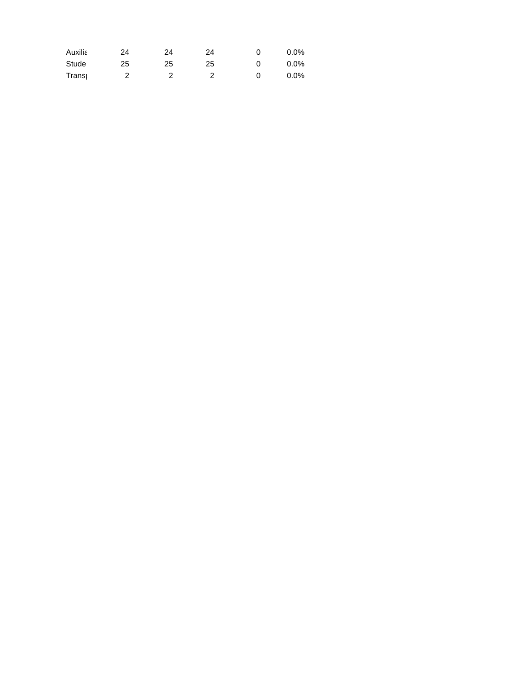| Auxilia | 24 | 24 | 24 | $0.0\%$ |
|---------|----|----|----|---------|
| Stude   | 25 | 25 | 25 | $0.0\%$ |
| Transı  |    |    |    | $0.0\%$ |